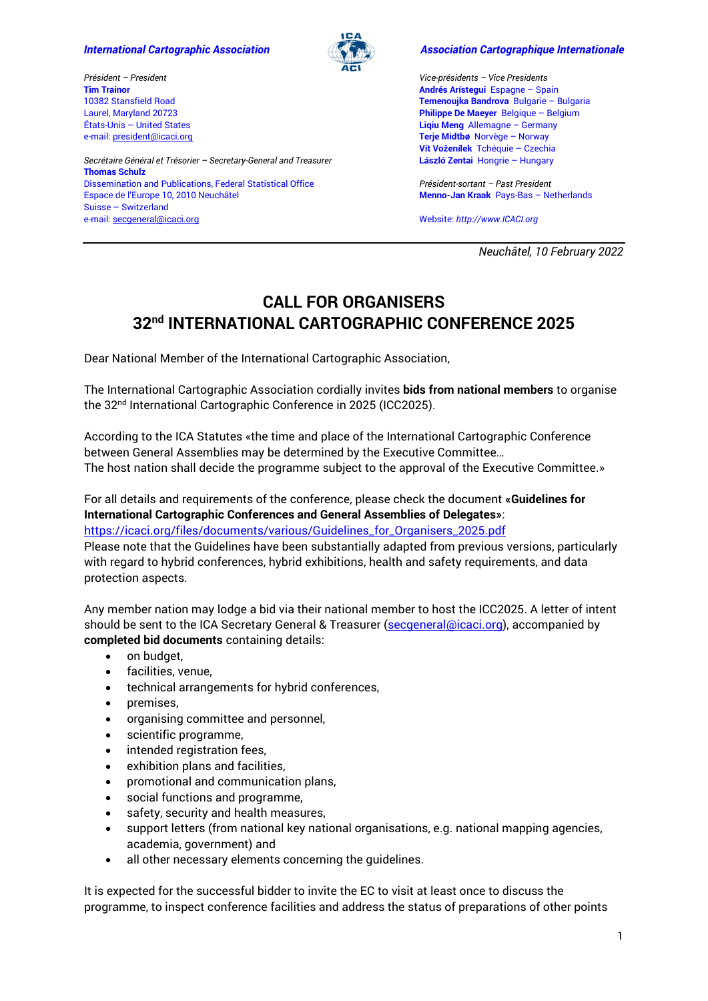*Secrétaire Général et Trésorier – Secretary-General and Treasurer*

Dissemination and Publications, Federal Statistical Office

Espace de l'Europe 10, 2010 Neuchâtel

*Président – President* **Tim Trainor**

**Thomas Schulz**

Suisse – Switzerland e-mail: [secgeneral@icaci.org](mailto:secgeneral@icaci.org)

10382 Stansfield Road Laurel, Maryland 20723 États-Unis – United States e-mail: president@icaci.org



### *International Cartographic Association Association Cartographique Internationale*

*Vice-présidents – Vice Presidents* **Andrés Arístegui** Espagne – Spain **Temenoujka Bandrova** Bulgarie – Bulgaria **Philippe De Maeyer** Belgique – Belgium **Liqiu Meng** Allemagne – Germany **Terje Midtbø** Norvège – Norway **Vít Voženílek** Tchéquie – Czechia **[László Zentai](https://icaci.org/laszlo-zentai)** Hongrie – Hungary

*Président-sortant – Past President* **Menno-Jan Kraak** Pays-Bas – Netherlands

Website: *http://www.ICACI.org*

*Neuchâtel, 10 February 2022*

# **CALL FOR ORGANISERS 32nd INTERNATIONAL CARTOGRAPHIC CONFERENCE 2025**

Dear National Member of the International Cartographic Association,

The International Cartographic Association cordially invites **bids from national members** to organise the 32<sup>nd</sup> International Cartographic Conference in 2025 (ICC2025).

According to the ICA Statutes «the time and place of the International Cartographic Conference between General Assemblies may be determined by the Executive Committee… The host nation shall decide the programme subject to the approval of the Executive Committee.»

For all details and requirements of the conference, please check the document **«Guidelines for International Cartographic Conferences and General Assemblies of Delegates»**: [https://icaci.org/files/documents/various/Guidelines\\_for\\_Organisers\\_2025.pdf](https://icaci.org/files/documents/various/Guidelines_for_Organisers_2025.pdf) Please note that the Guidelines have been substantially adapted from previous versions, particularly with regard to hybrid conferences, hybrid exhibitions, health and safety requirements, and data protection aspects.

Any member nation may lodge a bid via their national member to host the ICC2025. A letter of intent should be sent to the ICA Secretary General & Treasurer (secqeneral@icaci.org), accompanied by **completed bid documents** containing details:

- on budget,
- facilities, venue,
- technical arrangements for hybrid conferences,
- premises.
- organising committee and personnel,
- scientific programme,
- intended registration fees,
- exhibition plans and facilities,
- promotional and communication plans,
- social functions and programme,
- safety, security and health measures,
- support letters (from national key national organisations, e.g. national mapping agencies, academia, government) and
- all other necessary elements concerning the guidelines.

It is expected for the successful bidder to invite the EC to visit at least once to discuss the programme, to inspect conference facilities and address the status of preparations of other points